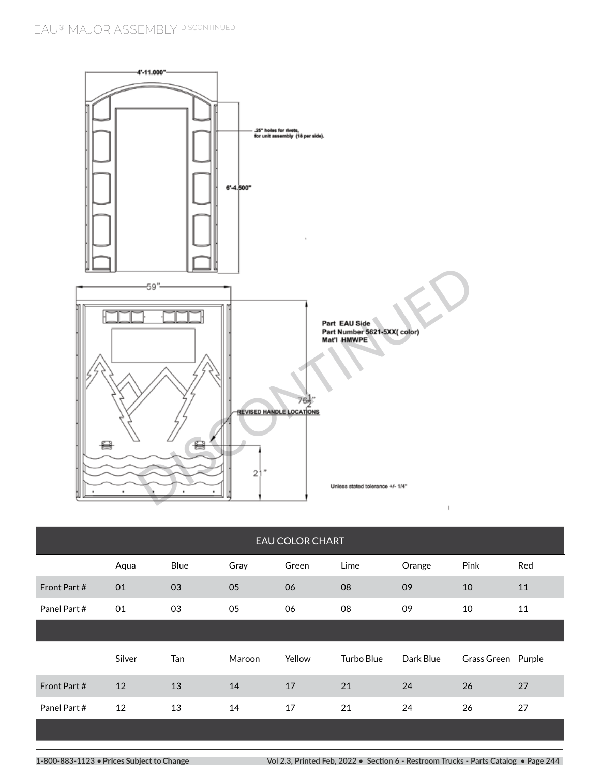

| <b>EAU COLOR CHART</b> |        |      |        |        |            |           |                    |     |
|------------------------|--------|------|--------|--------|------------|-----------|--------------------|-----|
|                        | Aqua   | Blue | Gray   | Green  | Lime       | Orange    | Pink               | Red |
| Front Part #           | 01     | 03   | 05     | 06     | 08         | 09        | 10                 | 11  |
| Panel Part #           | 01     | 03   | 05     | 06     | 08         | 09        | 10                 | 11  |
|                        |        |      |        |        |            |           |                    |     |
|                        | Silver | Tan  | Maroon | Yellow | Turbo Blue | Dark Blue | Grass Green Purple |     |
| Front Part #           | 12     | 13   | 14     | 17     | 21         | 24        | 26                 | 27  |
| Panel Part #           | 12     | 13   | 14     | 17     | 21         | 24        | 26                 | 27  |
|                        |        |      |        |        |            |           |                    |     |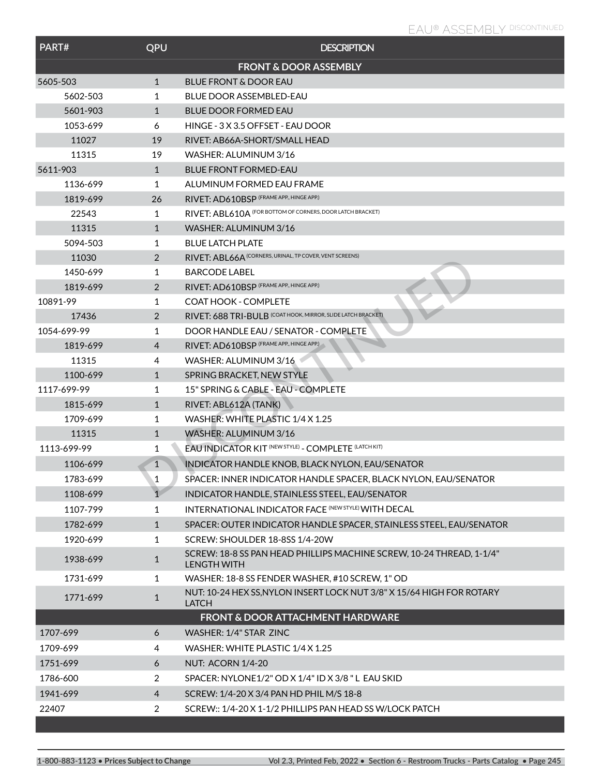| PART#       | QPU          | <b>DESCRIPTION</b>                                                                         |
|-------------|--------------|--------------------------------------------------------------------------------------------|
|             |              | <b>FRONT &amp; DOOR ASSEMBLY</b>                                                           |
| 5605-503    | $\mathbf{1}$ | <b>BLUE FRONT &amp; DOOR EAU</b>                                                           |
| 5602-503    | 1            | <b>BLUE DOOR ASSEMBLED-EAU</b>                                                             |
| 5601-903    | $\mathbf{1}$ | <b>BLUE DOOR FORMED EAU</b>                                                                |
| 1053-699    | 6            | HINGE - 3 X 3.5 OFFSET - EAU DOOR                                                          |
| 11027       | 19           | RIVET: AB66A-SHORT/SMALL HEAD                                                              |
| 11315       | 19           | WASHER: ALUMINUM 3/16                                                                      |
| 5611-903    | $\mathbf{1}$ | <b>BLUE FRONT FORMED-EAU</b>                                                               |
| 1136-699    | 1            | ALUMINUM FORMED EAU FRAME                                                                  |
| 1819-699    | 26           | RIVET: AD610BSP (FRAME APP., HINGE APP.)                                                   |
| 22543       | 1            | RIVET: ABL610A (FOR BOTTOM OF CORNERS, DOOR LATCH BRACKET)                                 |
| 11315       | $\mathbf{1}$ | WASHER: ALUMINUM 3/16                                                                      |
| 5094-503    | 1            | <b>BLUE LATCH PLATE</b>                                                                    |
| 11030       | 2            | RIVET: ABL66A (CORNERS, URINAL, TP COVER, VENT SCREENS)                                    |
| 1450-699    | 1            | <b>BARCODE LABEL</b>                                                                       |
| 1819-699    | 2            | RIVET: AD610BSP (FRAME APP., HINGE APP.)                                                   |
| 10891-99    | 1            | <b>COAT HOOK - COMPLETE</b>                                                                |
| 17436       | 2            | RIVET: 688 TRI-BULB (COAT HOOK, MIRROR, SLIDE LATCH BRACKET)                               |
| 1054-699-99 | 1            | DOOR HANDLE EAU / SENATOR - COMPLETE                                                       |
| 1819-699    | 4            | RIVET: AD610BSP (FRAME APP., HINGE APP.)                                                   |
| 11315       | 4            | WASHER: ALUMINUM 3/16                                                                      |
| 1100-699    | $\mathbf{1}$ | SPRING BRACKET, NEW STYLE                                                                  |
| 1117-699-99 | 1            | 15" SPRING & CABLE - EAU - COMPLETE                                                        |
| 1815-699    | $\mathbf{1}$ | RIVET: ABL612A (TANK)                                                                      |
| 1709-699    | 1            | WASHER: WHITE PLASTIC 1/4 X 1.25                                                           |
| 11315       | $\mathbf{1}$ | WASHER: ALUMINUM 3/16                                                                      |
| 1113-699-99 | 1            | EAU INDICATOR KIT (NEW STYLE) - COMPLETE (LATCH KIT)                                       |
| 1106-699    | $\mathbf{1}$ | INDICATOR HANDLE KNOB, BLACK NYLON, EAU/SENATOR                                            |
| 1783-699    | $\mathbf{1}$ | SPACER: INNER INDICATOR HANDLE SPACER, BLACK NYLON, EAU/SENATOR                            |
| 1108-699    | $\mathbf{1}$ | INDICATOR HANDLE, STAINLESS STEEL, EAU/SENATOR                                             |
| 1107-799    | 1            | <b>INTERNATIONAL INDICATOR FACE (NEW STYLE) WITH DECAL</b>                                 |
| 1782-699    | $\mathbf{1}$ | SPACER: OUTER INDICATOR HANDLE SPACER, STAINLESS STEEL, EAU/SENATOR                        |
| 1920-699    | 1            | SCREW: SHOULDER 18-8SS 1/4-20W                                                             |
| 1938-699    | $\mathbf{1}$ | SCREW: 18-8 SS PAN HEAD PHILLIPS MACHINE SCREW, 10-24 THREAD, 1-1/4"<br><b>LENGTH WITH</b> |
| 1731-699    | 1            | WASHER: 18-8 SS FENDER WASHER, #10 SCREW, 1" OD                                            |
| 1771-699    | $\mathbf{1}$ | NUT: 10-24 HEX SS, NYLON INSERT LOCK NUT 3/8" X 15/64 HIGH FOR ROTARY<br><b>LATCH</b>      |
|             |              | <b>FRONT &amp; DOOR ATTACHMENT HARDWARE</b>                                                |
| 1707-699    | 6            | WASHER: 1/4" STAR ZINC                                                                     |
| 1709-699    | 4            | WASHER: WHITE PLASTIC 1/4 X 1.25                                                           |
| 1751-699    | 6            | <b>NUT: ACORN 1/4-20</b>                                                                   |
| 1786-600    | 2            | SPACER: NYLONE1/2" OD X 1/4" ID X 3/8 "L EAU SKID                                          |
| 1941-699    | 4            | SCREW: 1/4-20 X 3/4 PAN HD PHIL M/S 18-8                                                   |
| 22407       | 2            | SCREW:: 1/4-20 X 1-1/2 PHILLIPS PAN HEAD SS W/LOCK PATCH                                   |
|             |              |                                                                                            |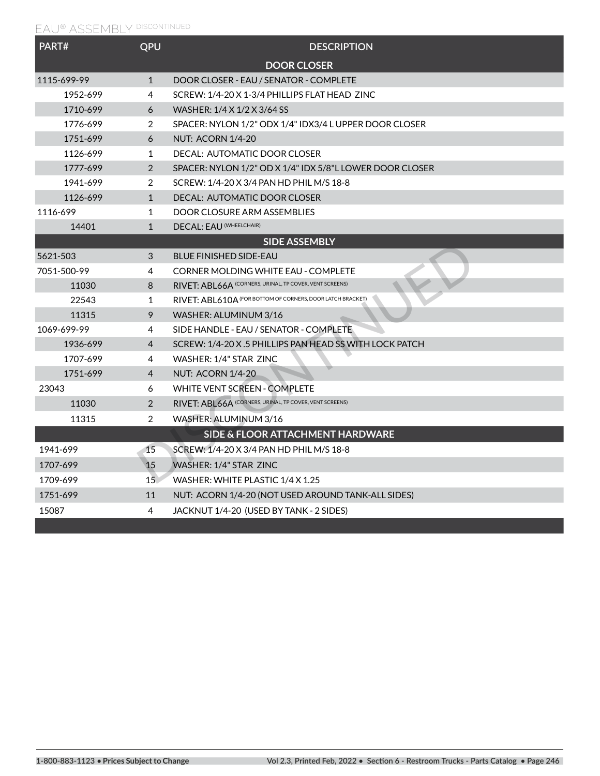## **EAU® ASSEMBLY DISCONTINUED**

| PART#       | QPU             | <b>DESCRIPTION</b>                                         |  |  |  |
|-------------|-----------------|------------------------------------------------------------|--|--|--|
|             |                 | <b>DOOR CLOSER</b>                                         |  |  |  |
| 1115-699-99 | $\mathbf{1}$    | DOOR CLOSER - EAU / SENATOR - COMPLETE                     |  |  |  |
| 1952-699    | 4               | SCREW: 1/4-20 X 1-3/4 PHILLIPS FLAT HEAD ZINC              |  |  |  |
| 1710-699    | 6               | WASHER: 1/4 X 1/2 X 3/64 SS                                |  |  |  |
| 1776-699    | $\overline{2}$  | SPACER: NYLON 1/2" ODX 1/4" IDX3/4 L UPPER DOOR CLOSER     |  |  |  |
| 1751-699    | 6               | <b>NUT: ACORN 1/4-20</b>                                   |  |  |  |
| 1126-699    | 1               | DECAL: AUTOMATIC DOOR CLOSER                               |  |  |  |
| 1777-699    | $\overline{2}$  | SPACER: NYLON 1/2" OD X 1/4" IDX 5/8"L LOWER DOOR CLOSER   |  |  |  |
| 1941-699    | $\overline{2}$  | SCREW: 1/4-20 X 3/4 PAN HD PHIL M/S 18-8                   |  |  |  |
| 1126-699    | $\mathbf{1}$    | DECAL: AUTOMATIC DOOR CLOSER                               |  |  |  |
| 1116-699    | 1               | DOOR CLOSURE ARM ASSEMBLIES                                |  |  |  |
| 14401       | $\mathbf{1}$    | DECAL: EAU (WHEELCHAIR)                                    |  |  |  |
|             |                 | <b>SIDE ASSEMBLY</b>                                       |  |  |  |
| 5621-503    | 3               | <b>BLUE FINISHED SIDE-EAU</b>                              |  |  |  |
| 7051-500-99 | 4               | <b>CORNER MOLDING WHITE EAU - COMPLETE</b>                 |  |  |  |
| 11030       | 8               | RIVET: ABL66A (CORNERS, URINAL, TP COVER, VENT SCREENS)    |  |  |  |
| 22543       | $\mathbf{1}$    | RIVET: ABL610A (FOR BOTTOM OF CORNERS, DOOR LATCH BRACKET) |  |  |  |
| 11315       | 9               | WASHER: ALUMINUM 3/16                                      |  |  |  |
| 1069-699-99 | 4               | SIDE HANDLE - EAU / SENATOR - COMPLETE                     |  |  |  |
| 1936-699    | 4               | SCREW: 1/4-20 X.5 PHILLIPS PAN HEAD SS WITH LOCK PATCH     |  |  |  |
| 1707-699    | 4               | WASHER: 1/4" STAR 7INC                                     |  |  |  |
| 1751-699    | 4               | <b>NUT: ACORN 1/4-20</b>                                   |  |  |  |
| 23043       | 6               | <b>WHITE VENT SCREEN - COMPLETE</b>                        |  |  |  |
| 11030       | $\overline{2}$  | RIVET: ABL66A (CORNERS, URINAL, TP COVER, VENT SCREENS)    |  |  |  |
| 11315       | $\overline{2}$  | WASHER: ALUMINUM 3/16                                      |  |  |  |
|             |                 | SIDE & FLOOR ATTACHMENT HARDWARE                           |  |  |  |
| 1941-699    | 15              | SCREW: 1/4-20 X 3/4 PAN HD PHIL M/S 18-8                   |  |  |  |
| 1707-699    | 15              | <b>WASHER: 1/4" STAR ZINC</b>                              |  |  |  |
| 1709-699    | 15 <sub>1</sub> | WASHER: WHITE PLASTIC 1/4 X 1.25                           |  |  |  |
| 1751-699    | 11              | NUT: ACORN 1/4-20 (NOT USED AROUND TANK-ALL SIDES)         |  |  |  |
| 15087       | 4               | JACKNUT 1/4-20 (USED BY TANK - 2 SIDES)                    |  |  |  |
|             |                 |                                                            |  |  |  |